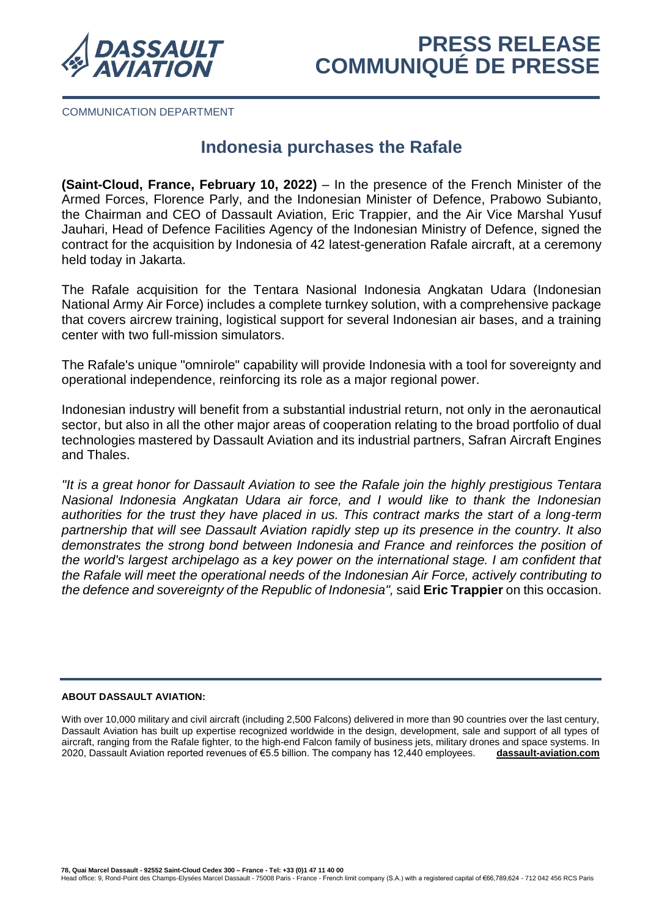

COMMUNICATION DEPARTMENT

# **Indonesia purchases the Rafale**

**(Saint-Cloud, France, February 10, 2022)** – In the presence of the French Minister of the Armed Forces, Florence Parly, and the Indonesian Minister of Defence, Prabowo Subianto, the Chairman and CEO of Dassault Aviation, Eric Trappier, and the Air Vice Marshal Yusuf Jauhari, Head of Defence Facilities Agency of the Indonesian Ministry of Defence, signed the contract for the acquisition by Indonesia of 42 latest-generation Rafale aircraft, at a ceremony held today in Jakarta.

The Rafale acquisition for the Tentara Nasional Indonesia Angkatan Udara (Indonesian National Army Air Force) includes a complete turnkey solution, with a comprehensive package that covers aircrew training, logistical support for several Indonesian air bases, and a training center with two full-mission simulators.

The Rafale's unique "omnirole" capability will provide Indonesia with a tool for sovereignty and operational independence, reinforcing its role as a major regional power.

Indonesian industry will benefit from a substantial industrial return, not only in the aeronautical sector, but also in all the other major areas of cooperation relating to the broad portfolio of dual technologies mastered by Dassault Aviation and its industrial partners, Safran Aircraft Engines and Thales.

*"It is a great honor for Dassault Aviation to see the Rafale join the highly prestigious Tentara Nasional Indonesia Angkatan Udara air force, and I would like to thank the Indonesian authorities for the trust they have placed in us. This contract marks the start of a long-term partnership that will see Dassault Aviation rapidly step up its presence in the country. It also demonstrates the strong bond between Indonesia and France and reinforces the position of the world's largest archipelago as a key power on the international stage. I am confident that the Rafale will meet the operational needs of the Indonesian Air Force, actively contributing to the defence and sovereignty of the Republic of Indonesia",* said **Eric Trappier** on this occasion.

## **ABOUT DASSAULT AVIATION:**

With over 10,000 military and civil aircraft (including 2,500 Falcons) delivered in more than 90 countries over the last century, Dassault Aviation has built up expertise recognized worldwide in the design, development, sale and support of all types of aircraft, ranging from the Rafale fighter, to the high-end Falcon family of business jets, military drones and space systems. In 2020, Dassault Aviation reported revenues of €5.5 billion. The company has 12,440 employees. **[dassault-aviation.com](http://www.dassault-aviation.com/)**